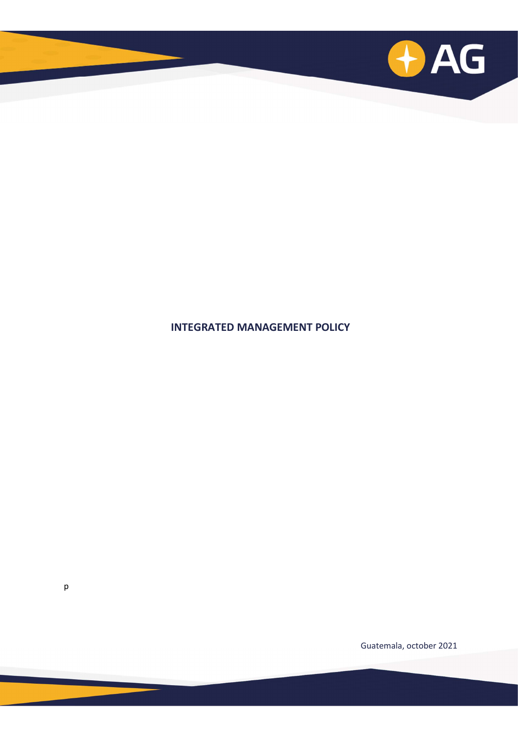

## INTEGRATED MANAGEMENT POLICY

Guatemala, october 2021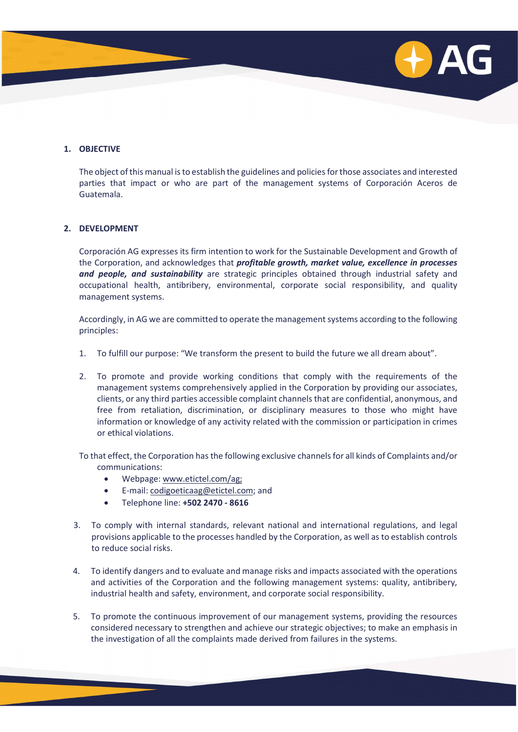

## 1. OBJECTIVE

The object of this manual is to establish the guidelines and policies for those associates and interested parties that impact or who are part of the management systems of Corporación Aceros de Guatemala.

## 2. DEVELOPMENT

Corporación AG expresses its firm intention to work for the Sustainable Development and Growth of the Corporation, and acknowledges that *profitable growth, market value, excellence in processes* and people, and sustainability are strategic principles obtained through industrial safety and occupational health, antibribery, environmental, corporate social responsibility, and quality management systems.

Accordingly, in AG we are committed to operate the management systems according to the following principles:

- 1. To fulfill our purpose: "We transform the present to build the future we all dream about".
- 2. To promote and provide working conditions that comply with the requirements of the management systems comprehensively applied in the Corporation by providing our associates, clients, or any third parties accessible complaint channels that are confidential, anonymous, and free from retaliation, discrimination, or disciplinary measures to those who might have information or knowledge of any activity related with the commission or participation in crimes or ethical violations.

To that effect, the Corporation has the following exclusive channels for all kinds of Complaints and/or communications:

- Webpage: www.etictel.com/ag;
- E-mail: codigoeticaag@etictel.com; and
- Telephone line: +502 2470 8616
- 3. To comply with internal standards, relevant national and international regulations, and legal provisions applicable to the processes handled by the Corporation, as well as to establish controls to reduce social risks.
- 4. To identify dangers and to evaluate and manage risks and impacts associated with the operations and activities of the Corporation and the following management systems: quality, antibribery, industrial health and safety, environment, and corporate social responsibility.
- 5. To promote the continuous improvement of our management systems, providing the resources considered necessary to strengthen and achieve our strategic objectives; to make an emphasis in the investigation of all the complaints made derived from failures in the systems.